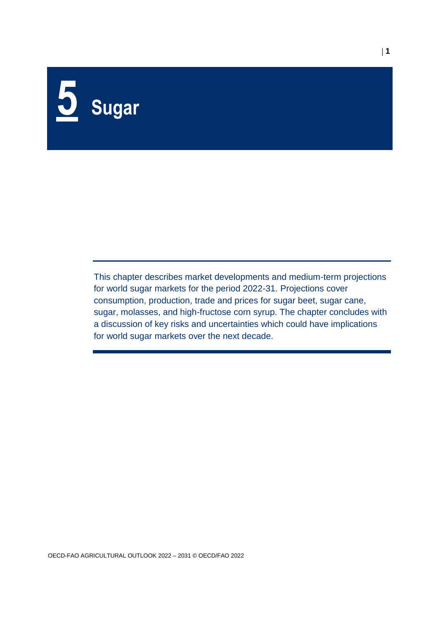# **5 Sugar**

This chapter describes market developments and medium-term projections for world sugar markets for the period 2022-31. Projections cover consumption, production, trade and prices for sugar beet, sugar cane, sugar, molasses, and high-fructose corn syrup. The chapter concludes with a discussion of key risks and uncertainties which could have implications for world sugar markets over the next decade.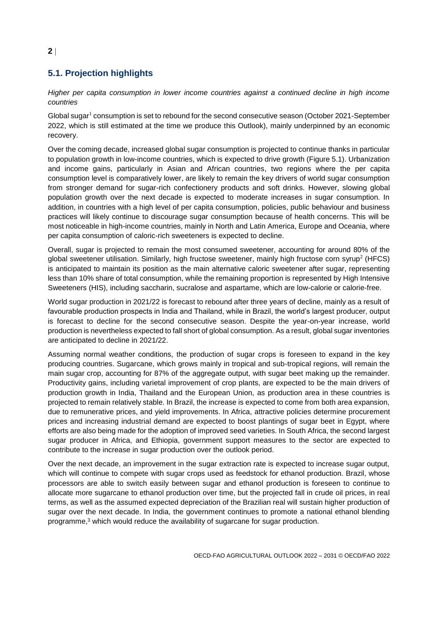# **5.1. Projection highlights**

*Higher per capita consumption in lower income countries against a continued decline in high income countries*

Global sugar<sup>1</sup> consumption is set to rebound for the second consecutive season (October 2021-September 2022, which is still estimated at the time we produce this Outlook), mainly underpinned by an economic recovery.

Over the coming decade, increased global sugar consumption is projected to continue thanks in particular to population growth in low-income countries, which is expected to drive growth (Figure 5.1). Urbanization and income gains, particularly in Asian and African countries, two regions where the per capita consumption level is comparatively lower, are likely to remain the key drivers of world sugar consumption from stronger demand for sugar-rich confectionery products and soft drinks. However, slowing global population growth over the next decade is expected to moderate increases in sugar consumption. In addition, in countries with a high level of per capita consumption, policies, public behaviour and business practices will likely continue to discourage sugar consumption because of health concerns. This will be most noticeable in high-income countries, mainly in North and Latin America, Europe and Oceania, where per capita consumption of caloric-rich sweeteners is expected to decline.

Overall, sugar is projected to remain the most consumed sweetener, accounting for around 80% of the global sweetener utilisation. Similarly, high fructose sweetener, mainly high fructose corn syrup<sup>2</sup> (HFCS) is anticipated to maintain its position as the main alternative caloric sweetener after sugar, representing less than 10% share of total consumption, while the remaining proportion is represented by High Intensive Sweeteners (HIS), including saccharin, sucralose and aspartame, which are low-calorie or calorie-free.

World sugar production in 2021/22 is forecast to rebound after three years of decline, mainly as a result of favourable production prospects in India and Thailand, while in Brazil, the world's largest producer, output is forecast to decline for the second consecutive season. Despite the year-on-year increase, world production is nevertheless expected to fall short of global consumption. As a result, global sugar inventories are anticipated to decline in 2021/22.

Assuming normal weather conditions, the production of sugar crops is foreseen to expand in the key producing countries. Sugarcane, which grows mainly in tropical and sub-tropical regions, will remain the main sugar crop, accounting for 87% of the aggregate output, with sugar beet making up the remainder. Productivity gains, including varietal improvement of crop plants, are expected to be the main drivers of production growth in India, Thailand and the European Union, as production area in these countries is projected to remain relatively stable. In Brazil, the increase is expected to come from both area expansion, due to remunerative prices, and yield improvements. In Africa, attractive policies determine procurement prices and increasing industrial demand are expected to boost plantings of sugar beet in Egypt, where efforts are also being made for the adoption of improved seed varieties. In South Africa, the second largest sugar producer in Africa, and Ethiopia, government support measures to the sector are expected to contribute to the increase in sugar production over the outlook period.

Over the next decade, an improvement in the sugar extraction rate is expected to increase sugar output, which will continue to compete with sugar crops used as feedstock for ethanol production. Brazil, whose processors are able to switch easily between sugar and ethanol production is foreseen to continue to allocate more sugarcane to ethanol production over time, but the projected fall in crude oil prices, in real terms, as well as the assumed expected depreciation of the Brazilian real will sustain higher production of sugar over the next decade. In India, the government continues to promote a national ethanol blending programme, <sup>3</sup> which would reduce the availability of sugarcane for sugar production.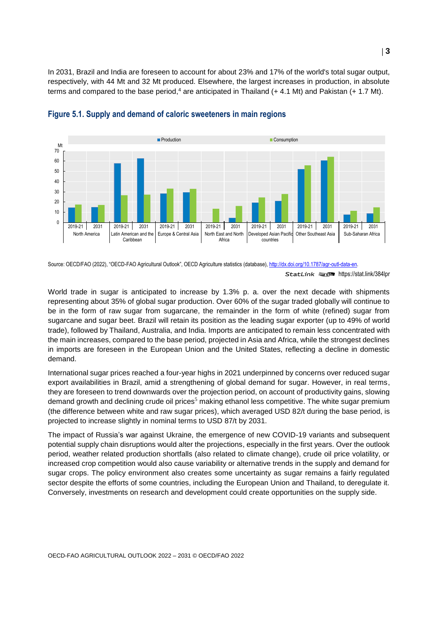In 2031, Brazil and India are foreseen to account for about 23% and 17% of the world's total sugar output, respectively, with 44 Mt and 32 Mt produced. Elsewhere, the largest increases in production, in absolute terms and compared to the base period,<sup>4</sup> are anticipated in Thailand (+ 4.1 Mt) and Pakistan (+ 1.7 Mt).



#### **Figure 5.1. Supply and demand of caloric sweeteners in main regions**

Source: OECD/FAO (2022), "OECD-FAO Agricultural Outlook", OECD Agriculture statistics (database), http://dx.doi.org/10.1787/agr-outl-data-en.

World trade in sugar is anticipated to increase by 1.3% p. a. over the next decade with shipments representing about 35% of global sugar production. Over 60% of the sugar traded globally will continue to be in the form of raw sugar from sugarcane, the remainder in the form of white (refined) sugar from sugarcane and sugar beet. Brazil will retain its position as the leading sugar exporter (up to 49% of world trade), followed by Thailand, Australia, and India. Imports are anticipated to remain less concentrated with the main increases, compared to the base period, projected in Asia and Africa, while the strongest declines in imports are foreseen in the European Union and the United States, reflecting a decline in domestic demand.

International sugar prices reached a four-year highs in 2021 underpinned by concerns over reduced sugar export availabilities in Brazil, amid a strengthening of global demand for sugar. However, in real terms, they are foreseen to trend downwards over the projection period, on account of productivity gains, slowing demand growth and declining crude oil prices<sup>5</sup> making ethanol less competitive. The white sugar premium (the difference between white and raw sugar prices), which averaged USD 82/t during the base period, is projected to increase slightly in nominal terms to USD 87/t by 2031.

The impact of Russia's war against Ukraine, the emergence of new COVID-19 variants and subsequent potential supply chain disruptions would alter the projections, especially in the first years. Over the outlook period, weather related production shortfalls (also related to climate change), crude oil price volatility, or increased crop competition would also cause variability or alternative trends in the supply and demand for sugar crops. The policy environment also creates some uncertainty as sugar remains a fairly regulated sector despite the efforts of some countries, including the European Union and Thailand, to deregulate it. Conversely, investments on research and development could create opportunities on the supply side.

StatLink **2018** <https://stat.link/384lpr>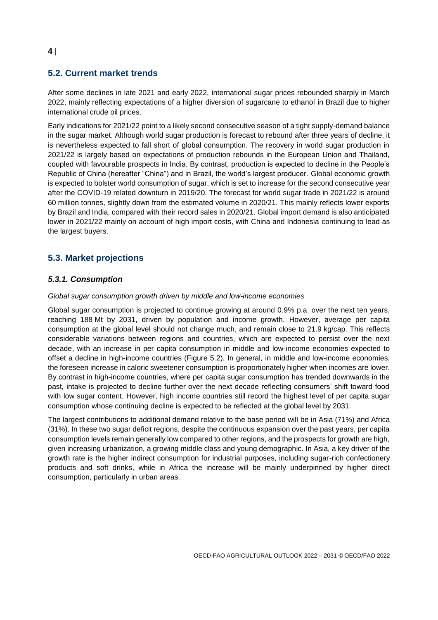#### **5.2. Current market trends**

After some declines in late 2021 and early 2022, international sugar prices rebounded sharply in March 2022, mainly reflecting expectations of a higher diversion of sugarcane to ethanol in Brazil due to higher international crude oil prices.

Early indications for 2021/22 point to a likely second consecutive season of a tight supply-demand balance in the sugar market. Although world sugar production is forecast to rebound after three years of decline, it is nevertheless expected to fall short of global consumption. The recovery in world sugar production in 2021/22 is largely based on expectations of production rebounds in the European Union and Thailand, coupled with favourable prospects in India. By contrast, production is expected to decline in the People's Republic of China (hereafter "China") and in Brazil, the world's largest producer. Global economic growth is expected to bolster world consumption of sugar, which is set to increase for the second consecutive year after the COVID-19 related downturn in 2019/20. The forecast for world sugar trade in 2021/22 is around 60 million tonnes, slightly down from the estimated volume in 2020/21. This mainly reflects lower exports by Brazil and India, compared with their record sales in 2020/21. Global import demand is also anticipated lower in 2021/22 mainly on account of high import costs, with China and Indonesia continuing to lead as the largest buyers.

# **5.3. Market projections**

#### *5.3.1. Consumption*

#### *Global sugar consumption growth driven by middle and low-income economies*

Global sugar consumption is projected to continue growing at around 0.9% p.a. over the next ten years, reaching 188 Mt by 2031, driven by population and income growth. However, average per capita consumption at the global level should not change much, and remain close to 21.9 kg/cap. This reflects considerable variations between regions and countries, which are expected to persist over the next decade, with an increase in per capita consumption in middle and low-income economies expected to offset a decline in high-income countries (Figure 5.2). In general, in middle and low-income economies, the foreseen increase in caloric sweetener consumption is proportionately higher when incomes are lower. By contrast in high-income countries, where per capita sugar consumption has trended downwards in the past, intake is projected to decline further over the next decade reflecting consumers' shift toward food with low sugar content. However, high income countries still record the highest level of per capita sugar consumption whose continuing decline is expected to be reflected at the global level by 2031.

The largest contributions to additional demand relative to the base period will be in Asia (71%) and Africa (31%). In these two sugar deficit regions, despite the continuous expansion over the past years, per capita consumption levels remain generally low compared to other regions, and the prospects for growth are high, given increasing urbanization, a growing middle class and young demographic. In Asia, a key driver of the growth rate is the higher indirect consumption for industrial purposes, including sugar-rich confectionery products and soft drinks, while in Africa the increase will be mainly underpinned by higher direct consumption, particularly in urban areas.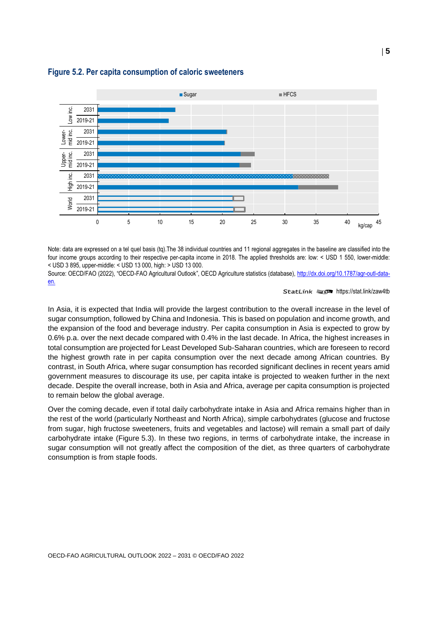

#### <span id="page-4-0"></span>**Figure 5.2. Per capita consumption of caloric sweeteners**

Note: data are expressed on a tel quel basis (tq).The 38 individual countries and 11 regional aggregates in the baseline are classified into the four income groups according to their respective per-capita income in 2018. The applied thresholds are: low: < USD 1 550, lower-middle: < USD 3 895, upper-middle: < USD 13 000, high: > USD 13 000.

Source: OECD/FAO (2022), "OECD-FAO Agricultural Outlook", OECD Agriculture statistics (database), [http://dx.doi.org/10.1787/agr-outl-data](http://dx.doi.org/10.1787/agr-outl-data-en)[en.](http://dx.doi.org/10.1787/agr-outl-data-en)

#### StatLink **Fistal** <https://stat.link/zaw4tb>

In Asia, it is expected that India will provide the largest contribution to the overall increase in the level of sugar consumption, followed by China and Indonesia. This is based on population and income growth, and the expansion of the food and beverage industry. Per capita consumption in Asia is expected to grow by 0.6% p.a. over the next decade compared with 0.4% in the last decade. In Africa, the highest increases in total consumption are projected for Least Developed Sub-Saharan countries, which are foreseen to record the highest growth rate in per capita consumption over the next decade among African countries. By contrast, in South Africa, where sugar consumption has recorded significant declines in recent years amid government measures to discourage its use, per capita intake is projected to weaken further in the next decade. Despite the overall increase, both in Asia and Africa, average per capita consumption is projected to remain below the global average.

Over the coming decade, even if total daily carbohydrate intake in Asia and Africa remains higher than in the rest of the world (particularly Northeast and North Africa), simple carbohydrates (glucose and fructose from sugar, high fructose sweeteners, fruits and vegetables and lactose) will remain a small part of daily carbohydrate intake [\(Figure](#page-5-0) 5.3). In these two regions, in terms of carbohydrate intake, the increase in sugar consumption will not greatly affect the composition of the diet, as three quarters of carbohydrate consumption is from staple foods.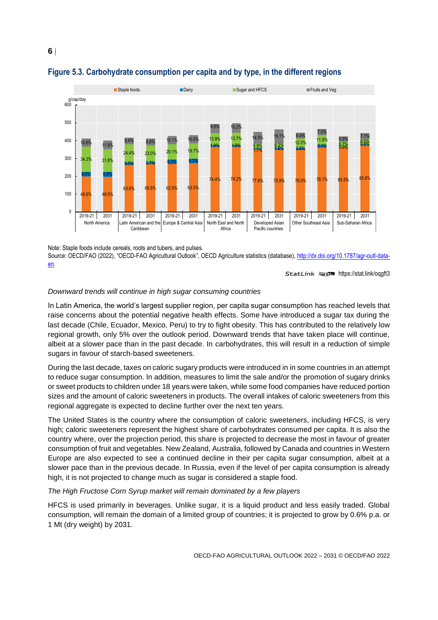

# <span id="page-5-0"></span>**Figure 5.3. Carbohydrate consumption per capita and by type, in the different regions**

Note: Staple foods include cereals, roots and tubers, and pulses.

Source: OECD/FAO (2022), "OECD-FAO Agricultural Outlook", OECD Agriculture statistics (database), [http://dx.doi.org/10.1787/agr-outl-data](http://dx.doi.org/10.1787/agr-outl-data-en)[en.](http://dx.doi.org/10.1787/agr-outl-data-en)

StatLink **2018** <https://stat.link/oqgft3>

#### *Downward trends will continue in high sugar consuming countries*

In Latin America, the world's largest supplier region, per capita sugar consumption has reached levels that raise concerns about the potential negative health effects. Some have introduced a sugar tax during the last decade (Chile, Ecuador, Mexico, Peru) to try to fight obesity. This has contributed to the relatively low regional growth, only 5% over the outlook period. Downward trends that have taken place will continue, albeit at a slower pace than in the past decade. In carbohydrates, this will result in a reduction of simple sugars in favour of starch-based sweeteners.

During the last decade, taxes on caloric sugary products were introduced in in some countries in an attempt to reduce sugar consumption. In addition, measures to limit the sale and/or the promotion of sugary drinks or sweet products to children under 18 years were taken, while some food companies have reduced portion sizes and the amount of caloric sweeteners in products. The overall intakes of caloric sweeteners from this regional aggregate is expected to decline further over the next ten years.

The United States is the country where the consumption of caloric sweeteners, including HFCS, is very high; caloric sweeteners represent the highest share of carbohydrates consumed per capita. It is also the country where, over the projection period, this share is projected to decrease the most in favour of greater consumption of fruit and vegetables. New Zealand, Australia, followed by Canada and countries in Western Europe are also expected to see a continued decline in their per capita sugar consumption, albeit at a slower pace than in the previous decade. In Russia, even if the level of per capita consumption is already high, it is not projected to change much as sugar is considered a staple food.

#### *The High Fructose Corn Syrup market will remain dominated by a few players*

HFCS is used primarily in beverages. Unlike sugar, it is a liquid product and less easily traded. Global consumption, will remain the domain of a limited group of countries; it is projected to grow by 0.6% p.a. or 1 Mt (dry weight) by 2031.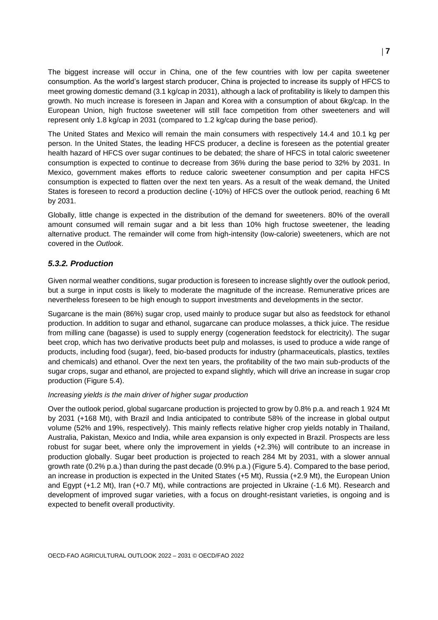The biggest increase will occur in China, one of the few countries with low per capita sweetener consumption. As the world's largest starch producer, China is projected to increase its supply of HFCS to meet growing domestic demand (3.1 kg/cap in 2031), although a lack of profitability is likely to dampen this growth. No much increase is foreseen in Japan and Korea with a consumption of about 6kg/cap. In the European Union, high fructose sweetener will still face competition from other sweeteners and will represent only 1.8 kg/cap in 2031 (compared to 1.2 kg/cap during the base period).

The United States and Mexico will remain the main consumers with respectively 14.4 and 10.1 kg per person. In the United States, the leading HFCS producer, a decline is foreseen as the potential greater health hazard of HFCS over sugar continues to be debated; the share of HFCS in total caloric sweetener consumption is expected to continue to decrease from 36% during the base period to 32% by 2031. In Mexico, government makes efforts to reduce caloric sweetener consumption and per capita HFCS consumption is expected to flatten over the next ten years. As a result of the weak demand, the United States is foreseen to record a production decline (-10%) of HFCS over the outlook period, reaching 6 Mt by 2031.

Globally, little change is expected in the distribution of the demand for sweeteners. 80% of the overall amount consumed will remain sugar and a bit less than 10% high fructose sweetener, the leading alternative product. The remainder will come from high-intensity (low-calorie) sweeteners, which are not covered in the *Outlook*.

#### *5.3.2. Production*

Given normal weather conditions, sugar production is foreseen to increase slightly over the outlook period, but a surge in input costs is likely to moderate the magnitude of the increase. Remunerative prices are nevertheless foreseen to be high enough to support investments and developments in the sector.

Sugarcane is the main (86%) sugar crop, used mainly to produce sugar but also as feedstock for ethanol production. In addition to sugar and ethanol, sugarcane can produce molasses, a thick juice. The residue from milling cane (bagasse) is used to supply energy (cogeneration feedstock for electricity). The sugar beet crop, which has two derivative products beet pulp and molasses, is used to produce a wide range of products, including food (sugar), feed, bio-based products for industry (pharmaceuticals, plastics, textiles and chemicals) and ethanol. Over the next ten years, the profitability of the two main sub-products of the sugar crops, sugar and ethanol, are projected to expand slightly, which will drive an increase in sugar crop production [\(Figure](#page-7-0) 5.4).

#### *Increasing yields is the main driver of higher sugar production*

Over the outlook period, global sugarcane production is projected to grow by 0.8% p.a. and reach 1 924 Mt by 2031 (+168 Mt), with Brazil and India anticipated to contribute 58% of the increase in global output volume (52% and 19%, respectively). This mainly reflects relative higher crop yields notably in Thailand, Australia, Pakistan, Mexico and India, while area expansion is only expected in Brazil. Prospects are less robust for sugar beet, where only the improvement in yields (+2.3%) will contribute to an increase in production globally. Sugar beet production is projected to reach 284 Mt by 2031, with a slower annual growth rate (0.2% p.a.) than during the past decade (0.9% p.a.) (Figure 5.4). Compared to the base period, an increase in production is expected in the United States (+5 Mt), Russia (+2.9 Mt), the European Union and Egypt (+1.2 Mt), Iran (+0.7 Mt), while contractions are projected in Ukraine (-1.6 Mt). Research and development of improved sugar varieties, with a focus on drought-resistant varieties, is ongoing and is expected to benefit overall productivity.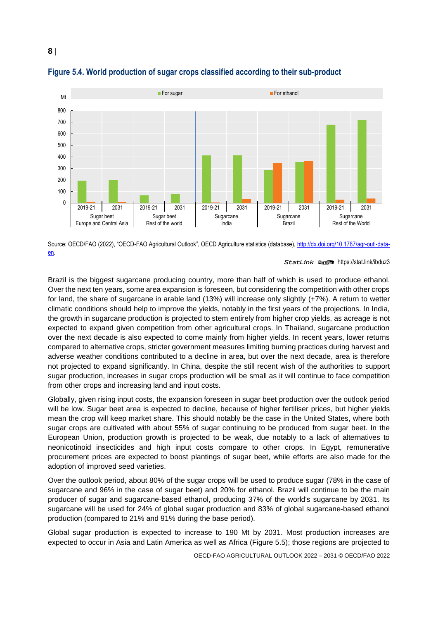

#### <span id="page-7-0"></span>**Figure 5.4. World production of sugar crops classified according to their sub-product**

Source: OECD/FAO (2022), "OECD-FAO Agricultural Outlook", OECD Agriculture statistics (database), [http://dx.doi.org/10.1787/agr-outl-data](http://dx.doi.org/10.1787/agr-outl-data-en)[en.](http://dx.doi.org/10.1787/agr-outl-data-en)

StatLink **2018** <https://stat.link/ibduz3>

Brazil is the biggest sugarcane producing country, more than half of which is used to produce ethanol. Over the next ten years, some area expansion is foreseen, but considering the competition with other crops for land, the share of sugarcane in arable land (13%) will increase only slightly (+7%). A return to wetter climatic conditions should help to improve the yields, notably in the first years of the projections. In India, the growth in sugarcane production is projected to stem entirely from higher crop yields, as acreage is not expected to expand given competition from other agricultural crops. In Thailand, sugarcane production over the next decade is also expected to come mainly from higher yields. In recent years, lower returns compared to alternative crops, stricter government measures limiting burning practices during harvest and adverse weather conditions contributed to a decline in area, but over the next decade, area is therefore not projected to expand significantly. In China, despite the still recent wish of the authorities to support sugar production, increases in sugar crops production will be small as it will continue to face competition from other crops and increasing land and input costs.

Globally, given rising input costs, the expansion foreseen in sugar beet production over the outlook period will be low. Sugar beet area is expected to decline, because of higher fertiliser prices, but higher yields mean the crop will keep market share. This should notably be the case in the United States, where both sugar crops are cultivated with about 55% of sugar continuing to be produced from sugar beet. In the European Union, production growth is projected to be weak, due notably to a lack of alternatives to neonicotinoid insecticides and high input costs compare to other crops. In Egypt, remunerative procurement prices are expected to boost plantings of sugar beet, while efforts are also made for the adoption of improved seed varieties.

Over the outlook period, about 80% of the sugar crops will be used to produce sugar (78% in the case of sugarcane and 96% in the case of sugar beet) and 20% for ethanol. Brazil will continue to be the main producer of sugar and sugarcane-based ethanol, producing 37% of the world's sugarcane by 2031. Its sugarcane will be used for 24% of global sugar production and 83% of global sugarcane-based ethanol production (compared to 21% and 91% during the base period).

Global sugar production is expected to increase to 190 Mt by 2031. Most production increases are expected to occur in Asia and Latin America as well as Africa (Figure 5.5); those regions are projected to

OECD-FAO AGRICULTURAL OUTLOOK 2022 – 2031 © OECD/FAO 2022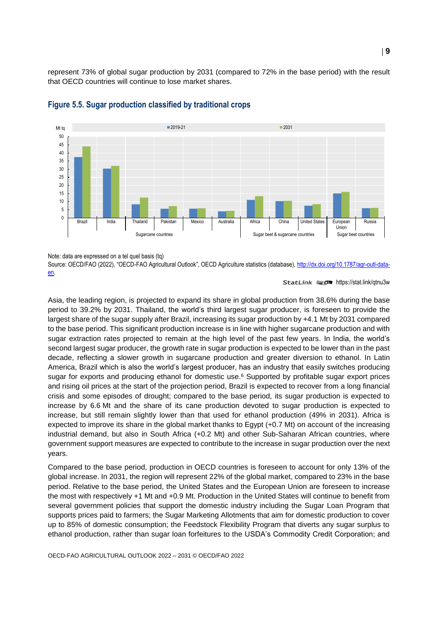represent 73% of global sugar production by 2031 (compared to 72% in the base period) with the result that OECD countries will continue to lose market shares.



#### **Figure 5.5. Sugar production classified by traditional crops**

Note: data are expressed on a tel quel basis (tq)

Source: OECD/FAO (2022), "OECD-FAO Agricultural Outlook", OECD Agriculture statistics (database), [http://dx.doi.org/10.1787/agr-outl-data](http://dx.doi.org/10.1787/agr-outl-data-en)[en.](http://dx.doi.org/10.1787/agr-outl-data-en) 

#### StatLink <sub>215</sub> <https://stat.link/qtnu3w>

Asia, the leading region, is projected to expand its share in global production from 38.6% during the base period to 39.2% by 2031. Thailand, the world's third largest sugar producer, is foreseen to provide the largest share of the sugar supply after Brazil, increasing its sugar production by +4.1 Mt by 2031 compared to the base period. This significant production increase is in line with higher sugarcane production and with sugar extraction rates projected to remain at the high level of the past few years. In India, the world's second largest sugar producer, the growth rate in sugar production is expected to be lower than in the past decade, reflecting a slower growth in sugarcane production and greater diversion to ethanol. In Latin America, Brazil which is also the world's largest producer, has an industry that easily switches producing sugar for exports and producing ethanol for domestic use. <sup>6</sup> Supported by profitable sugar export prices and rising oil prices at the start of the projection period, Brazil is expected to recover from a long financial crisis and some episodes of drought; compared to the base period, its sugar production is expected to increase by 6.6 Mt and the share of its cane production devoted to sugar production is expected to increase, but still remain slightly lower than that used for ethanol production (49% in 2031). Africa is expected to improve its share in the global market thanks to Egypt (+0.7 Mt) on account of the increasing industrial demand, but also in South Africa (+0.2 Mt) and other Sub-Saharan African countries, where government support measures are expected to contribute to the increase in sugar production over the next years.

Compared to the base period, production in OECD countries is foreseen to account for only 13% of the global increase. In 2031, the region will represent 22% of the global market, compared to 23% in the base period. Relative to the base period, the United States and the European Union are foreseen to increase the most with respectively +1 Mt and +0.9 Mt. Production in the United States will continue to benefit from several government policies that support the domestic industry including the Sugar Loan Program that supports prices paid to farmers; the Sugar Marketing Allotments that aim for domestic production to cover up to 85% of domestic consumption; the Feedstock Flexibility Program that diverts any sugar surplus to ethanol production, rather than sugar loan forfeitures to the USDA's Commodity Credit Corporation; and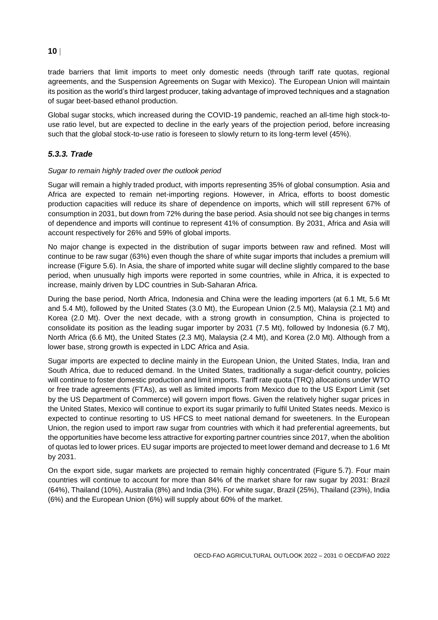#### **10**

trade barriers that limit imports to meet only domestic needs (through tariff rate quotas, regional agreements, and the Suspension Agreements on Sugar with Mexico). The European Union will maintain its position as the world's third largest producer, taking advantage of improved techniques and a stagnation of sugar beet-based ethanol production.

Global sugar stocks, which increased during the COVID-19 pandemic, reached an all-time high stock-touse ratio level, but are expected to decline in the early years of the projection period, before increasing such that the global stock-to-use ratio is foreseen to slowly return to its long-term level (45%).

#### *5.3.3. Trade*

#### *Sugar to remain highly traded over the outlook period*

Sugar will remain a highly traded product, with imports representing 35% of global consumption. Asia and Africa are expected to remain net-importing regions. However, in Africa, efforts to boost domestic production capacities will reduce its share of dependence on imports, which will still represent 67% of consumption in 2031, but down from 72% during the base period. Asia should not see big changes in terms of dependence and imports will continue to represent 41% of consumption. By 2031, Africa and Asia will account respectively for 26% and 59% of global imports.

No major change is expected in the distribution of sugar imports between raw and refined. Most will continue to be raw sugar (63%) even though the share of white sugar imports that includes a premium will increase [\(Figure](#page-10-0) 5.6). In Asia, the share of imported white sugar will decline slightly compared to the base period, when unusually high imports were reported in some countries, while in Africa, it is expected to increase, mainly driven by LDC countries in Sub-Saharan Africa.

During the base period, North Africa, Indonesia and China were the leading importers (at 6.1 Mt, 5.6 Mt and 5.4 Mt), followed by the United States (3.0 Mt), the European Union (2.5 Mt), Malaysia (2.1 Mt) and Korea (2.0 Mt). Over the next decade, with a strong growth in consumption, China is projected to consolidate its position as the leading sugar importer by 2031 (7.5 Mt), followed by Indonesia (6.7 Mt), North Africa (6.6 Mt), the United States (2.3 Mt), Malaysia (2.4 Mt), and Korea (2.0 Mt). Although from a lower base, strong growth is expected in LDC Africa and Asia.

Sugar imports are expected to decline mainly in the European Union, the United States, India, Iran and South Africa, due to reduced demand. In the United States, traditionally a sugar-deficit country, policies will continue to foster domestic production and limit imports. Tariff rate quota (TRQ) allocations under WTO or free trade agreements (FTAs), as well as limited imports from Mexico due to the US Export Limit (set by the US Department of Commerce) will govern import flows. Given the relatively higher sugar prices in the United States, Mexico will continue to export its sugar primarily to fulfil United States needs. Mexico is expected to continue resorting to US HFCS to meet national demand for sweeteners. In the European Union, the region used to import raw sugar from countries with which it had preferential agreements, but the opportunities have become less attractive for exporting partner countries since 2017, when the abolition of quotas led to lower prices. EU sugar imports are projected to meet lower demand and decrease to 1.6 Mt by 2031.

On the export side, sugar markets are projected to remain highly concentrated [\(Figure](#page-10-1) 5.7). Four main countries will continue to account for more than 84% of the market share for raw sugar by 2031: Brazil (64%), Thailand (10%), Australia (8%) and India (3%). For white sugar, Brazil (25%), Thailand (23%), India (6%) and the European Union (6%) will supply about 60% of the market.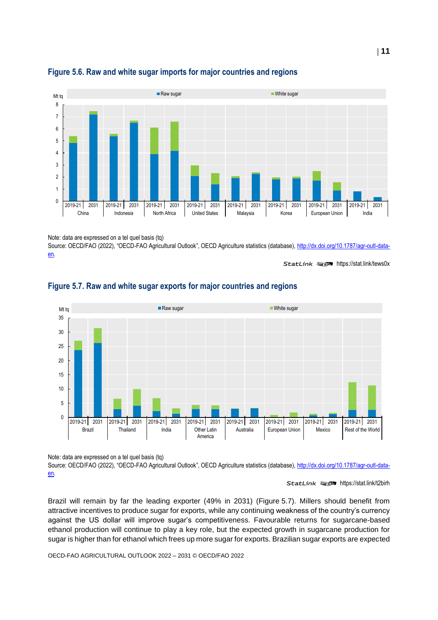

#### <span id="page-10-0"></span>**Figure 5.6. Raw and white sugar imports for major countries and regions**

Note: data are expressed on a tel quel basis (tq)

Source: OECD/FAO (2022), "OECD-FAO Agricultural Outlook", OECD Agriculture statistics (database), [http://dx.doi.org/10.1787/agr-outl-data](http://dx.doi.org/10.1787/agr-outl-data-en)[en.](http://dx.doi.org/10.1787/agr-outl-data-en) 

StatLink **2018** <https://stat.link/tews0x>



# <span id="page-10-1"></span>**Figure 5.7. Raw and white sugar exports for major countries and regions**

Note: data are expressed on a tel quel basis (tq)

Source: OECD/FAO (2022), "OECD-FAO Agricultural Outlook", OECD Agriculture statistics (database), [http://dx.doi.org/10.1787/agr-outl-data](http://dx.doi.org/10.1787/agr-outl-data-en)[en.](http://dx.doi.org/10.1787/agr-outl-data-en) 

StatLink **2** <https://stat.link/t2birh>

Brazil will remain by far the leading exporter (49% in 2031) [\(Figure](#page-10-1) 5.7). Millers should benefit from attractive incentives to produce sugar for exports, while any continuing weakness of the country's currency against the US dollar will improve sugar's competitiveness. Favourable returns for sugarcane-based ethanol production will continue to play a key role, but the expected growth in sugarcane production for sugar is higher than for ethanol which frees up more sugar for exports. Brazilian sugar exports are expected

OECD-FAO AGRICULTURAL OUTLOOK 2022 – 2031 © OECD/FAO 2022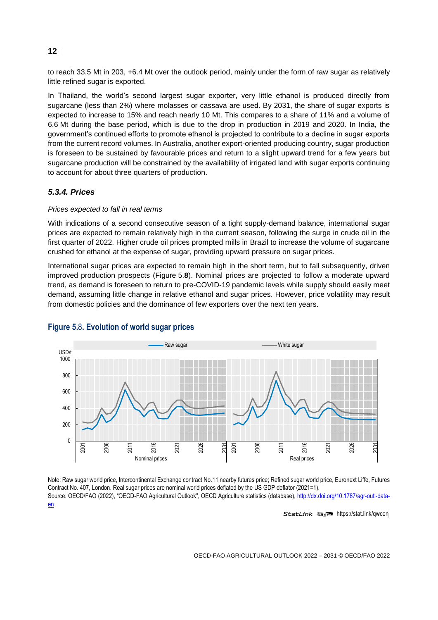#### **12**

to reach 33.5 Mt in 203, +6.4 Mt over the outlook period, mainly under the form of raw sugar as relatively little refined sugar is exported.

In Thailand, the world's second largest sugar exporter, very little ethanol is produced directly from sugarcane (less than 2%) where molasses or cassava are used. By 2031, the share of sugar exports is expected to increase to 15% and reach nearly 10 Mt. This compares to a share of 11% and a volume of 6.6 Mt during the base period, which is due to the drop in production in 2019 and 2020. In India, the government's continued efforts to promote ethanol is projected to contribute to a decline in sugar exports from the current record volumes. In Australia, another export-oriented producing country, sugar production is foreseen to be sustained by favourable prices and return to a slight upward trend for a few years but sugarcane production will be constrained by the availability of irrigated land with sugar exports continuing to account for about three quarters of production.

#### *5.3.4. Prices*

#### *Prices expected to fall in real terms*

With indications of a second consecutive season of a tight supply-demand balance, international sugar prices are expected to remain relatively high in the current season, following the surge in crude oil in the first quarter of 2022. Higher crude oil prices prompted mills in Brazil to increase the volume of sugarcane crushed for ethanol at the expense of sugar, providing upward pressure on sugar prices.

International sugar prices are expected to remain high in the short term, but to fall subsequently, driven improved production prospects [\(Figure](#page-11-0) 5.**8**). Nominal prices are projected to follow a moderate upward trend, as demand is foreseen to return to pre-COVID-19 pandemic levels while supply should easily meet demand, assuming little change in relative ethanol and sugar prices. However, price volatility may result from domestic policies and the dominance of few exporters over the next ten years.



#### <span id="page-11-0"></span>**Figure 5.**8**. Evolution of world sugar prices**

Note: Raw sugar world price, Intercontinental Exchange contract No.11 nearby futures price; Refined sugar world price, Euronext Liffe, Futures Contract No. 407, London. Real sugar prices are nominal world prices deflated by the US GDP deflator (2021=1). Source: OECD/FAO (2022), "OECD-FAO Agricultural Outlook", OECD Agriculture statistics (database), [http://dx.doi.org/10.1787/agr-outl-data](http://dx.doi.org/10.1787/agr-outl-data-en)[en](http://dx.doi.org/10.1787/agr-outl-data-en)

StatLink **2018** <https://stat.link/qwcenj>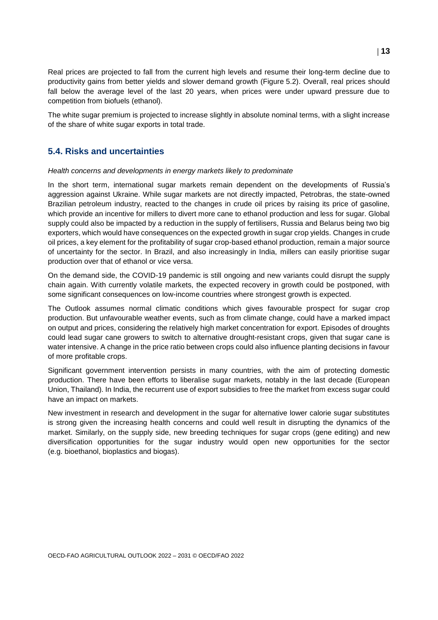Real prices are projected to fall from the current high levels and resume their long-term decline due to productivity gains from better yields and slower demand growth [\(Figure](#page-4-0) 5.2). Overall, real prices should fall below the average level of the last 20 years, when prices were under upward pressure due to competition from biofuels (ethanol).

The white sugar premium is projected to increase slightly in absolute nominal terms, with a slight increase of the share of white sugar exports in total trade.

#### **5.4. Risks and uncertainties**

#### *Health concerns and developments in energy markets likely to predominate*

In the short term, international sugar markets remain dependent on the developments of Russia's aggression against Ukraine. While sugar markets are not directly impacted, Petrobras, the state-owned Brazilian petroleum industry, reacted to the changes in crude oil prices by raising its price of gasoline, which provide an incentive for millers to divert more cane to ethanol production and less for sugar. Global supply could also be impacted by a reduction in the supply of fertilisers, Russia and Belarus being two big exporters, which would have consequences on the expected growth in sugar crop yields. Changes in crude oil prices, a key element for the profitability of sugar crop-based ethanol production, remain a major source of uncertainty for the sector. In Brazil, and also increasingly in India, millers can easily prioritise sugar production over that of ethanol or vice versa.

On the demand side, the COVID-19 pandemic is still ongoing and new variants could disrupt the supply chain again. With currently volatile markets, the expected recovery in growth could be postponed, with some significant consequences on low-income countries where strongest growth is expected.

The Outlook assumes normal climatic conditions which gives favourable prospect for sugar crop production. But unfavourable weather events, such as from climate change, could have a marked impact on output and prices, considering the relatively high market concentration for export. Episodes of droughts could lead sugar cane growers to switch to alternative drought-resistant crops, given that sugar cane is water intensive. A change in the price ratio between crops could also influence planting decisions in favour of more profitable crops.

Significant government intervention persists in many countries, with the aim of protecting domestic production. There have been efforts to liberalise sugar markets, notably in the last decade (European Union, Thailand). In India, the recurrent use of export subsidies to free the market from excess sugar could have an impact on markets.

New investment in research and development in the sugar for alternative lower calorie sugar substitutes is strong given the increasing health concerns and could well result in disrupting the dynamics of the market. Similarly, on the supply side, new breeding techniques for sugar crops (gene editing) and new diversification opportunities for the sugar industry would open new opportunities for the sector (e.g. bioethanol, bioplastics and biogas).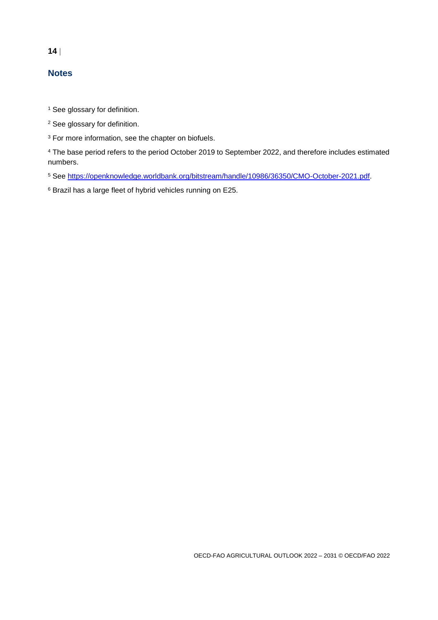# **14**

# **Notes**

<sup>1</sup> See glossary for definition.

<sup>2</sup> See glossary for definition.

<sup>3</sup> For more information, see the chapter on biofuels.

<sup>4</sup> The base period refers to the period October 2019 to September 2022, and therefore includes estimated numbers.

<sup>5</sup> See [https://openknowledge.worldbank.org/bitstream/handle/10986/36350/CMO-October-2021.pdf.](https://openknowledge.worldbank.org/bitstream/handle/10986/36350/CMO-October-2021.pdf)

<sup>6</sup> Brazil has a large fleet of hybrid vehicles running on E25.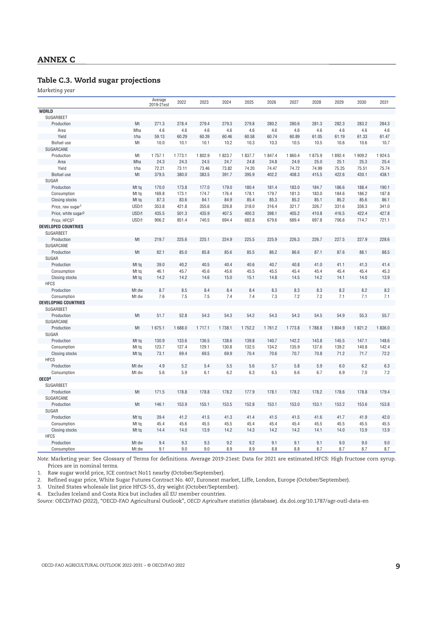#### **Table C.3. World sugar projections**

*Marketing year*

|                                 |       | Average<br>2019-21est | 2022   | 2023   | 2024   | 2025   | 2026    | 2027   | 2028   | 2029   | 2030    | 2031    |
|---------------------------------|-------|-----------------------|--------|--------|--------|--------|---------|--------|--------|--------|---------|---------|
| <b>WORLD</b>                    |       |                       |        |        |        |        |         |        |        |        |         |         |
| SUGARBEET                       |       |                       |        |        |        |        |         |        |        |        |         |         |
| Production                      | Mt    | 271.3                 | 278.4  | 279.4  | 279.3  | 279.8  | 280.2   | 280.6  | 281.3  | 282.3  | 283.2   | 284.3   |
| Area                            | Mha   | 4.6                   | 4.6    | 4.6    | 4.6    | 4.6    | 4.6     | 4.6    | 4.6    | 4.6    | 4.6     | 4.6     |
| Yield                           | t/ha  | 59.13                 | 60.29  | 60.39  | 60.46  | 60.58  | 60.74   | 60.89  | 61.05  | 61.19  | 61.33   | 61.47   |
| Biofuel use                     | Mt    | 10.0                  | 10.1   | 10.1   | 10.2   | 10.3   | 10.3    | 10.5   | 10.5   | 10.6   | 10.6    | 10.7    |
| SUGARCANE                       |       |                       |        |        |        |        |         |        |        |        |         |         |
| Production                      | Mt    | 1757.1                | 1773.1 | 1802.9 | 1823.7 | 1837.7 | 1 847.4 | 1860.4 | 1875.9 | 1892.4 | 1 909.2 | 1 924.5 |
| Area                            | Mha   | 24.3                  | 24.3   | 24.5   | 24.7   | 24.8   | 24.8    | 24.9   | 25.0   | 25.1   | 25.3    | 25.4    |
| Yield                           | t/ha  | 72.21                 | 73.11  | 73.46  | 73.82  | 74.20  | 74.47   | 74.72  | 74.99  | 75.25  | 75.51   | 75.74   |
| Biofuel use                     | Mt    | 379.5                 | 380.0  | 383.5  | 391.7  | 395.9  | 402.2   | 408.3  | 415.5  | 422.6  | 430.1   | 438.1   |
| SUGAR                           |       |                       |        |        |        |        |         |        |        |        |         |         |
| Production                      | Mt tg | 170.0                 | 173.8  | 177.0  | 179.0  | 180.4  | 181.4   | 183.0  | 184.7  | 186.6  | 188.4   | 190.1   |
| Consumption                     | Mt tg | 169.8                 | 173.1  | 174.7  | 176.4  | 178.1  | 179.7   | 181.3  | 183.0  | 184.6  | 186.2   | 187.8   |
| Closing stocks                  | Mt tq | 87.3                  | 83.6   | 84.1   | 84.9   | 85.4   | 85.3    | 85.2   | 85.1   | 85.2   | 85.6    | 86.1    |
| Price, raw sugar <sup>1</sup>   | USD/t | 353.8                 | 421.8  | 355.6  | 326.8  | 318.0  | 316.4   | 321.7  | 326.7  | 331.6  | 336.3   | 341.0   |
| Price, white sugar <sup>2</sup> | USD/t | 435.5                 | 501.3  | 435.9  | 407.5  | 400.3  | 398.1   | 405.2  | 410.8  | 416.5  | 422.4   | 427.8   |
| Price, HFCS3                    | USD/t | 906.2                 | 851.4  | 740.5  | 694.4  | 682.8  | 679.6   | 689.4  | 697.8  | 706.6  | 714.7   | 721.1   |
| <b>DEVELOPED COUNTRIES</b>      |       |                       |        |        |        |        |         |        |        |        |         |         |
| SUGARBEET                       |       |                       |        |        |        |        |         |        |        |        |         |         |
| Production                      | Mt    | 219.7                 | 225.6  | 225.1  | 224.9  | 225.5  | 225.9   | 226.3  | 226.7  | 227.5  | 227.9   | 228.6   |
| SUGARCANE                       |       |                       |        |        |        |        |         |        |        |        |         |         |
| Production                      | Mt    | 82.1                  | 85.0   | 85.8   | 85.6   | 85.5   | 86.2    | 86.6   | 87.1   | 87.6   | 88.1    | 88.5    |
| SUGAR                           |       |                       |        |        |        |        |         |        |        |        |         |         |
| Production                      | Mt tg | 39.0                  | 40.2   | 40.5   | 40.4   | 40.6   | 40.7    | 40.8   | 41.0   | 41.1   | 41.3    | 41.4    |
| Consumption                     | Mt tg | 46.1                  | 45.7   | 45.6   | 45.6   | 45.5   | 45.5    | 45.4   | 45.4   | 45.4   | 45.4    | 45.3    |
| Closing stocks                  | Mt tq | 14.2                  | 14.2   | 14.6   | 15.0   | 15.1   | 14.8    | 14.5   | 14.2   | 14.1   | 14.0    | 13.9    |
| <b>HFCS</b>                     |       |                       |        |        |        |        |         |        |        |        |         |         |
| Production                      | Mt dw | 8.7                   | 8.5    | 8.4    | 8.4    | 8.4    | 8.3     | 8.3    | 8.3    | 8.2    | 8.2     | 8.2     |
| Consumption                     | Mt dw | 7.6                   | 7.5    | 7.5    | 7.4    | 7.4    | 7.3     | 7.2    | 7.2    | 7.1    | 7.1     | 7.1     |
| <b>DEVELOPING COUNTRIES</b>     |       |                       |        |        |        |        |         |        |        |        |         |         |
| SUGARBEET                       |       |                       |        |        |        |        |         |        |        |        |         |         |
| Production                      | Mt    | 51.7                  | 52.8   | 54.3   | 54.3   | 54.2   | 54.3    | 54.3   | 54.5   | 54.9   | 55.3    | 55.7    |
| SUGARCANE                       |       |                       |        |        |        |        |         |        |        |        |         |         |
| Production                      | Mt    | 1675.1                | 1688.0 | 1717.1 | 1738.1 | 1752.2 | 1761.2  | 1773.8 | 1788.8 | 1804.9 | 1821.2  | 1836.0  |
| SUGAR                           |       |                       |        |        |        |        |         |        |        |        |         |         |
| Production                      | Mt tg | 130.9                 | 133.6  | 136.5  | 138.6  | 139.8  | 140.7   | 142.2  | 143.8  | 145.5  | 147.1   | 148.6   |
| Consumption                     | Mt tg | 123.7                 | 127.4  | 129.1  | 130.8  | 132.5  | 134.2   | 135.9  | 137.6  | 139.2  | 140.8   | 142.4   |
| Closing stocks                  | Mt tq | 73.1                  | 69.4   | 69.5   | 69.9   | 70.4   | 70.6    | 70.7   | 70.8   | 71.2   | 71.7    | 72.2    |
| <b>HFCS</b>                     |       |                       |        |        |        |        |         |        |        |        |         |         |
| Production                      | Mt dw | 4.9                   | 5.2    | 5.4    | 5.5    | 5.6    | 5.7     | 5.8    | 5.9    | 6.0    | 6.2     | 6.3     |
| Consumption                     | Mt dw | 5.6                   | 5.9    | 6.1    | 6.2    | 6.3    | 6.5     | 6.6    | 6.7    | 6.9    | 7.0     | 7.2     |
| OECD <sup>4</sup>               |       |                       |        |        |        |        |         |        |        |        |         |         |
| SUGARBEET                       |       |                       |        |        |        |        |         |        |        |        |         |         |
| Production                      | Mt    | 171.5                 | 178.8  | 178.8  | 178.2  | 177.9  | 178.1   | 178.2  | 178.2  | 178.6  | 178.8   | 179.4   |
| SUGARCANE                       |       |                       |        |        |        |        |         |        |        |        |         |         |
| Production                      | Mt    | 146.1                 | 153.9  | 155.1  | 153.5  | 152.8  | 153.1   | 153.0  | 153.1  | 153.2  | 153.6   | 153.8   |
| SUGAR                           |       |                       |        |        |        |        |         |        |        |        |         |         |
| Production                      | Mt tq | 39.4                  | 41.2   | 41.5   | 41.3   | 41.4   | 41.5    | 41.5   | 41.6   | 41.7   | 41.9    | 42.0    |
| Consumption                     | Mt tq | 45.4                  | 45.6   | 45.5   | 45.5   | 45.4   | 45.4    | 45.4   | 45.5   | 45.5   | 45.5    | 45.5    |
| Closing stocks<br><b>HFCS</b>   | Mt tq | 14.4                  | 14.0   | 13.9   | 14.2   | 14.3   | 14.2    | 14.2   | 14.1   | 14.0   | 13.9    | 13.9    |
| Production                      | Mt dw | 9.4                   | 9.3    | 9.3    | 9.2    | 9.2    | 9.1     | 9.1    | 9.1    | 9.0    | 9.0     | 9.0     |
| Consumption                     | Mt dw | 9.1                   | 9.0    | 9.0    | 8.9    | 8.9    | 8.8     | 8.8    | 8.7    | 8.7    | 8.7     | 8.7     |
|                                 |       |                       |        |        |        |        |         |        |        |        |         |         |

*Note:* Marketing year: See Glossary of Terms for definitions. Average 2019-21est: Data for 2021 are estimated.HFCS: High fructose corn syrup. Prices are in nominal terms.

1. Raw sugar world price, ICE contract No11 nearby (October/September).

2. Refined sugar price, White Sugar Futures Contract No. 407, Euronext market, Liffe, London, Europe (October/September).

3. United States wholesale list price HFCS-55, dry weight (October/September).

4. Excludes Iceland and Costa Rica but includes all EU member countries.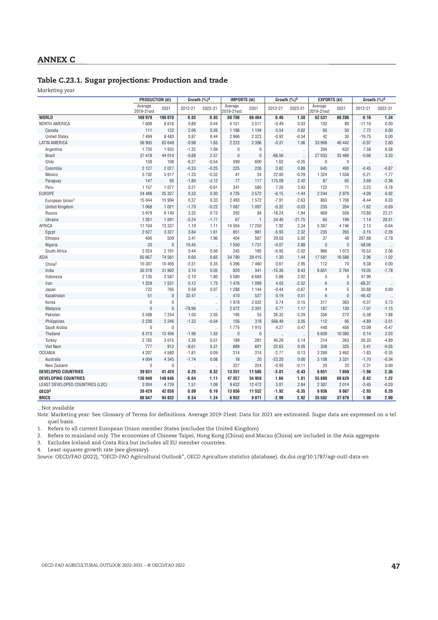#### **Table C.23.1. Sugar projections: Production and trade**

*Marketing year*

|                                 | <b>PRODUCTION (kt)</b> |                | Growth $(%)4$        |                      | <b>IMPORTS (kt)</b>   |              | Growth (%)4     |                      | <b>EXPORTS (kt)</b>   |              | Growth $(%)4$        |                    |
|---------------------------------|------------------------|----------------|----------------------|----------------------|-----------------------|--------------|-----------------|----------------------|-----------------------|--------------|----------------------|--------------------|
|                                 | Average<br>2019-21est  | 2031           | 2012-21              | 2022-31              | Average<br>2019-21est | 2031         | 2012-21         | 2022-31              | Average<br>2019-21est | 2031         | 2012-21              | 2022-31            |
| <b>WORLD</b>                    | 169 979                | 190 070        | 0.02                 | 0.93                 | 60708                 | 66 4 64      | 0.46            | 1.38                 | 62 531                | 68 288       | 0.16                 | 1.34               |
| NORTH AMERICA                   | 7609                   | 8616           | 0.89                 | 0.44                 | 4 1 5 1               | 3517         | $-0.49$         | 0.03                 | 102                   | 80           | $-11.10$             | 0.00               |
| Canada                          | 111                    | 132            | 2.06                 | 0.26                 | 1 1 8 6               | 1 1 9 4      | 0.54            | 0.82                 | 60                    | 50           | 7.72                 | 0.00               |
| <b>United States</b>            | 7499                   | 8 4 8 3        | 0.87                 | 0.44                 | 2966                  | 2 3 2 3      | $-0.92$         | $-0.34$              | 42                    | 30           | $-19.75$             | 0.00               |
| LATIN AMERICA                   | 56 905                 | 63 649         | $-0.98$              | 1.65                 | 2 2 2 3               | 2 3 9 6      | $-0.31$         | 1.06                 | 33 968                | 40 442       | $-0.97$              | 2.60               |
| Argentina                       | 1730                   | 1932           | $-1.32$              | 1.69                 | $\pmb{0}$             | $\pmb{0}$    | ÷.              | $\ddot{\phantom{a}}$ | 394                   | 632          | 7.58                 | 6.58               |
| <b>Brazil</b>                   | 37 418                 | 44 014         | $-0.88$              | 2.57                 | $\pmb{0}$             | $\pmb{0}$    | $-68.56$        | $\ldots$             | 27 033                | 33 466       | $-0.66$              | 3.33               |
| Chile                           | 138                    | 108            | $-8.37$              | $-0.54$              | 599                   | 600          | 1.62            | $-0.35$              | $\mathbf 0$           | $\mathbf 0$  | $\ddot{\phantom{a}}$ |                    |
| Colombia                        | 2 1 2 7                | 2 0 2 7        | $-0.33$              | $-0.25$              | 225                   | 226          | 3.82            | 0.88                 | 645                   | 493          | $-0.45$              | $-0.87$            |
| Mexico                          | 5702<br>147            | 5917           | $-1.23$              | $-0.32$              | 41<br>77              | 34           | 22.00           | $-0.29$              | 1 3 2 4               | 1558         | $-5.21$              | $-1.77$            |
| Paraguay                        | 1 1 5 7                | 95<br>1 0 7 7  | $-1.80$              | $-3.12$              | 341                   | 117<br>580   | 175.09          | 2.42                 | 87<br>122             | 65           | 3.69                 | $-2.36$<br>$-3.78$ |
| Peru<br><b>EUROPE</b>           | 24 488                 | 25 327         | 0.21<br>0.33         | $-0.61$<br>0.30      | 4725                  | 3572         | 7.26<br>$-6.15$ | 3.93<br>$-1.44$      | 2 2 4 4               | 71<br>2970   | 3.23<br>$-4.09$      | 6.92               |
| European Union <sup>1</sup>     | 15 044                 | 15 994         | 0.37                 | 0.33                 | 2 4 9 3               | 1572         | $-7.91$         | $-2.63$              | 863                   | 1706         | $-8.44$              | 6.03               |
| <b>United Kingdom</b>           | 1 0 6 8                | 1 0 2 1        | $-1.70$              | $-0.22$              | 1 0 8 7               | 1 0 9 7      | $-0.32$         | $-0.03$              | 235                   | 264          | $-1.62$              | $-0.69$            |
| Russia                          | 5979                   | 6 1 4 0        | 3.32                 | 0.73                 | 292                   | 84           | $-18.24$        | $-1.94$              | 669                   | 506          | 70.80                | 22.21              |
| Ukraine                         | 1 2 6 1                | 1 0 9 1        | $-5.24$              | $-1.77$              | 67                    | $\mathbf{1}$ | 34.40           | $-21.75$             | 65                    | 199          | 1.14                 | 28.51              |
| AFRICA                          | 11 104                 | 13 337         | 1.19                 | 1.11                 | 14 504                | 17 250       | 1.92            | 2.34                 | 5 3 6 7               | 4746         | 2.13                 | $-0.64$            |
| Egypt                           | 2627                   | 3 3 2 7        | 3.84                 | 1.61                 | 851                   | 981          | $-5.93$         | 2.32                 | 235                   | 265          | $-3.15$              | $-2.26$            |
| Ethiopia                        | 406                    | 509            | 3.41                 | 1.96                 | 404                   | 587          | 29.03           | 5.92                 | 37                    | 48           | 207.68               | $-2.78$            |
| Nigeria                         | 20                     | $\overline{0}$ | 10.45                | $\ldots$             | 1550                  | 1731         | $-0.07$         | 2.88                 | $\mathbf{0}$          | $\mathbf{0}$ | $-58.08$             |                    |
| South Africa                    | 2 0 2 4                | 2 1 9 1        | 0.44                 | 0.56                 | 345                   | 185          | $-6.95$         | $-2.02$              | 966                   | 1073         | 10.53                | 2.06               |
| ASIA                            | 65 667                 | 74 561         | 0.60                 | 0.65                 | 34 790                | 39 415       | 1.30            | 1.44                 | 17581                 | 16 588       | 2.96                 | $-1.02$            |
| China <sup>2</sup>              | 10 307                 | 10 4 95        | $-2.31$              | 0.35                 | 5 3 9 6               | 7 4 6 0      | 0.61            | 2.95                 | 112                   | 70           | 9.38                 | 0.00               |
| India                           | 30 318                 | 31 992         | 3.10                 | 0.05                 | 820                   | 341          | $-15.36$        | 8.43                 | 6 8 0 1               | 2764         | 19.05                | $-7.78$            |
| Indonesia                       | 2 1 3 5                | 2 5 8 7        | $-2.10$              | 1.80                 | 5 5 8 0               | 6684         | 5.88            | 2.02                 | 5                     | $\mathbf 0$  | 41.90                |                    |
| Iran                            | 1 3 2 8                | 1 5 3 1        | 0.12                 | 1.75                 | 1 4 7 6               | 1 0 9 9      | 4.03            | $-2.52$              | 6                     | $\mathbf{0}$ | $-68.37$             |                    |
| Japan                           | 722                    | 765            | 0.59                 | 0.07                 | 1 2 8 8               | 1 1 4 4      | $-0.44$         | $-0.87$              | 4                     | 5            | 20.88                | 0.00               |
| Kazakhstan                      | 51                     | 0              | 32.47                | $\ddot{\phantom{a}}$ | 470                   | 527          | 0.19            | 0.51                 | 6                     | $\pmb{0}$    | $-46.42$             |                    |
| Korea                           | $\pmb{0}$              | 0              | $\ddot{\phantom{a}}$ | $\ddot{\phantom{a}}$ | 1978                  | 2 0 3 2      | 0.74            | 0.15                 | 317                   | 363          | $-0.37$              | 0.73               |
| Malaysia                        | $\mathbf 0$            | $\mathbf 0$    | $-78.96$             | $\bar{\mathcal{A}}$  | 2072                  | 2 3 9 1      | 0.77            | 1.17                 | 187                   | 130          | $-7.07$              | $-1.15$            |
| Pakistan                        | 5 5 8 8                | 7 2 5 4        | 1.03                 | 2.05                 | 195                   | 55           | 26.32           | $-3.29$              | 356                   | 272          | $-5.38$              | 1.88               |
| Philippines                     | 2 2 3 6                | 2 2 4 6        | $-1.33$              | $-0.04$              | 156                   | 318          | 568.49          | 3.05                 | 112                   | 95           | $-4.89$              | $-3.01$            |
| Saudi Arabia                    | $\pmb{0}$              | 0              | $\ddot{\phantom{a}}$ | $\ddot{\phantom{a}}$ | 1775                  | 1915         | 4.27            | 0.47                 | 448                   | 456          | 12.09                | $-0.47$            |
| Thailand                        | 8 3 1 0                | 12 456         | $-1.96$              | 1.55                 | 0                     | $\pmb{0}$    |                 |                      | 6609                  | 10 080       | 0.14                 | 2.03               |
| Turkey                          | 2785                   | 3 0 1 5        | 3.26                 | 0.51                 | 189                   | 281          | 40.29           | 5.14                 | 314                   | 263          | 26.33                | $-4.89$            |
| Viet Nam                        | 777                    | 912            | $-8.61$              | 0.31                 | 889                   | 601          | 22.63           | 0.05                 | 308                   | 325          | 5.41                 | $-0.05$            |
| <b>OCEANIA</b>                  | 4 2 0 7                | 4580           | $-1.81$              | 0.09                 | 314                   | 314          | $-2.77$         | 0.13                 | 3 2 6 9               | 3 4 6 2      | $-1.83$              | $-0.35$            |
| Australia                       | 4 0 0 4                | 4 3 4 5        | $-1.74$              | 0.08                 | 18                    | 20           | $-23.20$        | 0.00                 | 3 1 0 8               | 3 3 3 1      | $-1.70$              | $-0.34$            |
| New Zealand                     | $\mathbf 0$            | $\overline{0}$ |                      | $\ddot{\phantom{a}}$ | 227                   | 224          | $-0.93$         | $-0.11$              | 20                    | 20           | $-2.31$              | 0.00               |
| <b>DEVELOPED COUNTRIES</b>      | 39 031                 | 41 424         | 0.25                 | 0.32                 | 13 3 51               | 11 505       | $-3.01$         | $-0.43$              | 6651                  | 7659         | $-1.98$              | 2.36               |
| <b>DEVELOPING COUNTRIES</b>     | 130 949                | 148 646        | $-0.04$              | 1.11                 | 47 357                | 54 959       | 1.66            | 1.81                 | 55 880                | 60 629       | 0.42                 | 1.22               |
| LEAST DEVELOPED COUNTRIES (LDC) | 3 9 3 4                | 4739           | 1.51                 | 1.09                 | 9632                  | 12 472       | 3.01            | 2.84                 | 2 3 8 7               | 2014         | $-3.45$              | $-0.20$            |
| OECD <sup>3</sup>               | 39 429                 | 42 038         | 0.00                 | 0.19                 | 13 056                | 11 552       | $-1.92$         | $-0.35$              | 6936                  | 8087         | $-2.93$              | 0.20               |
| <b>BRICS</b>                    | 86 047                 | 94 832         | 0.54                 | 1.24                 | 6852                  | 8 0 7 1      | $-2.99$         | 2.92                 | 35 582                | 37879        | 1.90                 | 2.00               |

.. Not available

*Note:* Marketing year: See Glossary of Terms for definitions. Average 2019-21est: Data for 2021 are estimated. Sugar data are expressed on a tel quel basis.

1. Refers to all current European Union member States (excludes the United Kingdom)

2. Refers to mainland only. The economies of Chinese Taipei, Hong Kong (China) and Macau (China) are included in the Asia aggregate.

3. Excludes Iceland and Costa Rica but includes all EU member countries.

4. Least-squares growth rate (see glossary).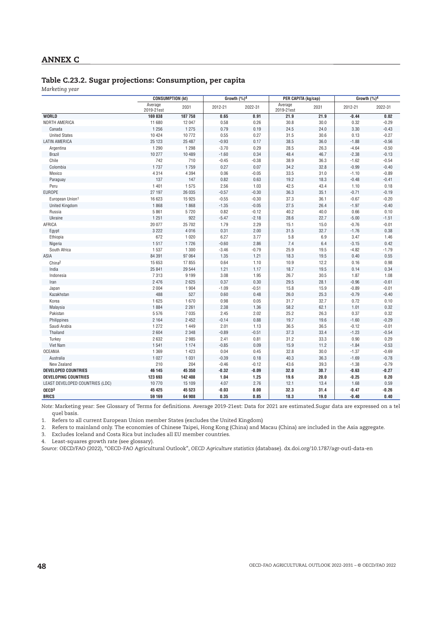#### **Table C.23.2. Sugar projections: Consumption, per capita**

*Marketing year*

|                                 | <b>CONSUMPTION (kt)</b> |         | Growth (%)4 |         | <b>PER CAPITA (kg/cap)</b> |      | Growth (%)4 |         |  |
|---------------------------------|-------------------------|---------|-------------|---------|----------------------------|------|-------------|---------|--|
|                                 | Average<br>2019-21est   | 2031    | 2012-21     | 2022-31 | Average<br>2019-21est      | 2031 | 2012-21     | 2022-31 |  |
| <b>WORLD</b>                    | 169838                  | 187758  | 0.65        | 0.91    | 21.9                       | 21.9 | $-0.44$     | 0.02    |  |
| NORTH AMERICA                   | 11 680                  | 12 047  | 0.58        | 0.26    | 30.8                       | 30.0 | 0.32        | $-0.29$ |  |
| Canada                          | 1 2 5 6                 | 1 2 7 5 | 0.79        | 0.19    | 24.5                       | 24.0 | 3.30        | $-0.43$ |  |
| <b>United States</b>            | 10 4 24                 | 10772   | 0.55        | 0.27    | 31.5                       | 30.6 | 0.13        | $-0.27$ |  |
| <b>LATIN AMERICA</b>            | 25 1 23                 | 25 487  | $-0.93$     | 0.17    | 38.5                       | 36.0 | $-1.88$     | $-0.56$ |  |
| Argentina                       | 1 2 9 0                 | 1 2 9 8 | $-3.70$     | 0.29    | 28.5                       | 26.3 | $-4.64$     | $-0.50$ |  |
| <b>Brazil</b>                   | 10 277                  | 10 489  | $-1.60$     | 0.34    | 48.4                       | 46.7 | $-2.38$     | $-0.13$ |  |
| Chile                           | 742                     | 710     | $-0.45$     | $-0.38$ | 38.9                       | 36.3 | $-1.62$     | $-0.54$ |  |
| Colombia                        | 1737                    | 1759    | 0.27        | 0.07    | 34.2                       | 32.8 | $-0.99$     | $-0.40$ |  |
| Mexico                          | 4314                    | 4 3 9 4 | 0.06        | $-0.05$ | 33.5                       | 31.0 | $-1.10$     | $-0.89$ |  |
| Paraguay                        | 137                     | 147     | 0.82        | 0.63    | 19.2                       | 18.3 | $-0.48$     | $-0.41$ |  |
| Peru                            | 1 4 0 1                 | 1575    | 2.56        | 1.03    | 42.5                       | 43.4 | 1.10        | 0.18    |  |
| EUROPE                          | 27 197                  | 26 035  | $-0.57$     | $-0.30$ | 36.3                       | 35.1 | $-0.71$     | $-0.19$ |  |
| European Union <sup>1</sup>     | 16 623                  | 15 9 25 | $-0.55$     | $-0.30$ | 37.3                       | 36.1 | $-0.67$     | $-0.20$ |  |
| <b>United Kingdom</b>           | 1868                    | 1868    | $-1.35$     | $-0.05$ | 27.5                       | 26.4 | $-1.97$     | $-0.40$ |  |
| Russia                          | 5861                    | 5720    | 0.82        | $-0.12$ | 40.2                       | 40.0 | 0.66        | 0.10    |  |
| Ukraine                         | 1 2 5 1                 | 922     | $-5.47$     | $-2.18$ | 28.6                       | 22.7 | $-5.00$     | $-1.51$ |  |
| AFRICA                          | 20 077                  | 25 702  | 1.79        | 2.29    | 15.1                       | 15.0 | $-0.76$     | $-0.01$ |  |
| Egypt                           | 3 2 2 2                 | 4016    | 0.31        | 2.00    | 31.5                       | 32.7 | $-1.76$     | 0.38    |  |
| Ethiopia                        | 672                     | 1 0 2 0 | 6.27        | 3.77    | 5.8                        | 6.9  | 3.47        | 1.46    |  |
| Nigeria                         | 1517                    | 1726    | $-0.60$     | 2.86    | 7.4                        | 6.4  | $-3.15$     | 0.42    |  |
| South Africa                    | 1537                    | 1 3 0 0 | $-3.46$     | $-0.79$ | 25.9                       | 19.5 | $-4.82$     | $-1.79$ |  |
| ASIA                            | 84 391                  | 97 064  | 1.35        | 1.21    | 18.3                       | 19.5 | 0.40        | 0.55    |  |
| China <sup>2</sup>              | 15 653                  | 17855   | 0.64        | 1.10    | 10.9                       | 12.2 | 0.16        | 0.98    |  |
| India                           | 25 841                  | 29 544  | 1.21        | 1.17    | 18.7                       | 19.5 | 0.14        | 0.34    |  |
| Indonesia                       | 7313                    | 9 1 9 9 | 3.08        | 1.95    | 26.7                       | 30.5 | 1.87        | 1.08    |  |
| Iran                            | 2 4 7 6                 | 2625    | 0.37        | 0.30    | 29.5                       | 28.1 | $-0.96$     | $-0.61$ |  |
| Japan                           | 2 0 0 4                 | 1 9 0 4 | $-1.09$     | $-0.51$ | 15.8                       | 15.9 | $-0.89$     | $-0.01$ |  |
| Kazakhstan                      | 488                     | 527     | 0.60        | 0.48    | 26.0                       | 25.3 | $-0.79$     | $-0.40$ |  |
| Korea                           | 1625                    | 1670    | 0.98        | 0.05    | 31.7                       | 32.7 | 0.72        | 0.10    |  |
| Malaysia                        | 1884                    | 2 2 6 1 | 2.38        | 1.36    | 58.2                       | 62.1 | 1.01        | 0.32    |  |
| Pakistan                        | 5576                    | 7 0 3 5 | 2.45        | 2.02    | 25.2                       | 26.3 | 0.37        | 0.32    |  |
| Philippines                     | 2 1 6 4                 | 2 4 5 2 | $-0.14$     | 0.88    | 19.7                       | 19.6 | $-1.60$     | $-0.29$ |  |
| Saudi Arabia                    | 1272                    | 1449    | 2.01        | 1.13    | 36.5                       | 36.5 | $-0.12$     | $-0.01$ |  |
| Thailand                        | 2 604                   | 2 3 4 8 | $-0.89$     | $-0.51$ | 37.3                       | 33.4 | $-1.23$     | $-0.54$ |  |
| Turkey                          | 2632                    | 2985    | 2.41        | 0.81    | 31.2                       | 33.3 | 0.90        | 0.29    |  |
| Viet Nam                        | 1541                    | 1 1 7 4 | $-0.85$     | 0.09    | 15.9                       | 11.2 | $-1.84$     | $-0.53$ |  |
| <b>OCEANIA</b>                  | 1 3 6 9                 | 1 4 2 3 | 0.04        | 0.45    | 32.8                       | 30.0 | $-1.37$     | $-0.69$ |  |
| Australia                       | 1 0 2 7                 | 1 0 3 1 | $-0.39$     | 0.18    | 40.3                       | 36.3 | $-1.69$     | $-0.78$ |  |
| New Zealand                     | 210                     | 204     | $-0.46$     | $-0.12$ | 43.6                       | 39.3 | $-1.38$     | $-0.79$ |  |
| <b>DEVELOPED COUNTRIES</b>      | 46 145                  | 45 350  | $-0.32$     | $-0.09$ | 32.0                       | 30.7 | $-0.63$     | $-0.27$ |  |
| <b>DEVELOPING COUNTRIES</b>     | 123 693                 | 142 408 | 1.04        | 1.25    | 19.6                       | 20.0 | $-0.25$     | 0.20    |  |
| LEAST DEVELOPED COUNTRIES (LDC) | 10770                   | 15 109  | 4.07        | 2.76    | 12.1                       | 13.4 | 1.68        | 0.59    |  |
| OECD <sup>3</sup>               | 45 425                  | 45 523  | $-0.03$     | 0.00    | 32.3                       | 31.4 | $-0.47$     | $-0.26$ |  |
| <b>BRICS</b>                    | 59 169                  | 64 908  | 0.35        | 0.85    | 18.3                       | 19.0 | $-0.40$     | 0.40    |  |

*Note:* Marketing year: See Glossary of Terms for definitions. Average 2019-21est: Data for 2021 are estimated.Sugar data are expressed on a tel quel basis.

1. Refers to all current European Union member States (excludes the United Kingdom)

2. Refers to mainland only. The economies of Chinese Taipei, Hong Kong (China) and Macau (China) are included in the Asia aggregate.

3. Excludes Iceland and Costa Rica but includes all EU member countries.

4. Least-squares growth rate (see glossary).